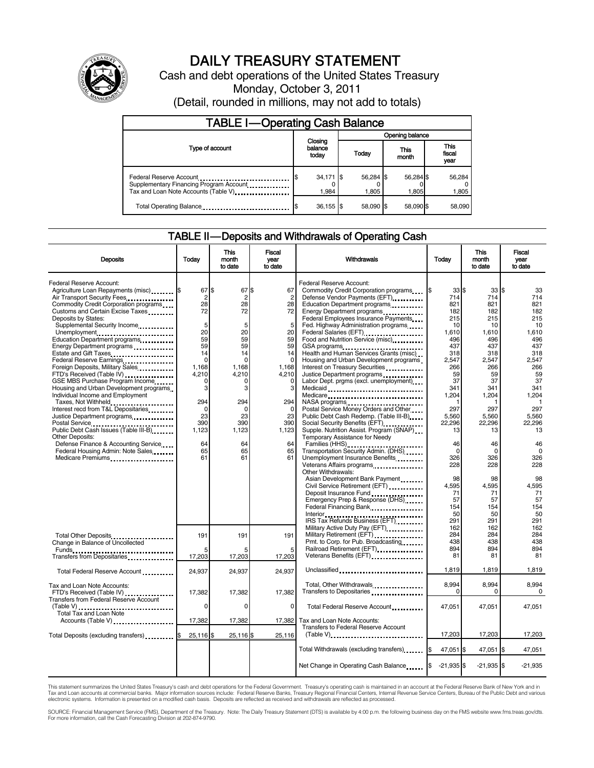

# DAILY TREASURY STATEMENT

Cash and debt operations of the United States Treasury Monday, October 3, 2011 (Detail, rounded in millions, may not add to totals)

| <b>TABLE I-Operating Cash Balance</b>                                                                      |                             |                    |                    |                               |  |  |  |  |
|------------------------------------------------------------------------------------------------------------|-----------------------------|--------------------|--------------------|-------------------------------|--|--|--|--|
|                                                                                                            |                             | Opening balance    |                    |                               |  |  |  |  |
| Type of account                                                                                            | Closing<br>balance<br>today | Today              | This<br>month      | <b>This</b><br>fiscal<br>year |  |  |  |  |
| Federal Reserve Account<br>Supplementary Financing Program Account<br>Tax and Loan Note Accounts (Table V) | 34,171 \$<br>1.984          | 56,284 \$<br>1,805 | 56,284 \$<br>1,805 | 56,284<br>1,805               |  |  |  |  |
| Total Operating Balance                                                                                    | 36,155 \$                   | 58.090 \$          | 58.090 \$          | 58,090                        |  |  |  |  |

## TABLE II-Deposits and Withdrawals of Operating Cash

| <b>Deposits</b>                                                                                                                                                                                                                                                                                                                                                                                                                                                                                                                                                                                                                                                                                                                                                                 | Today                                                                                                                                                               | <b>This</b><br>month<br>to date                                                                                                                                     | <b>Fiscal</b><br>Today<br>Withdrawals<br>year<br>to date                                                                                       |                                                                                                                                                                                                                                                                                                                                                                                                                                                                                                                                                                                                                                                                                                                                                                                                                                                                                                                                                                                                                                                                                                  | <b>This</b><br>month<br>to date                                                                                                                                                                                         | <b>Fiscal</b><br>vear<br>to date                                                                                                                                                                                               |                                                                                                                                                                                                                                               |
|---------------------------------------------------------------------------------------------------------------------------------------------------------------------------------------------------------------------------------------------------------------------------------------------------------------------------------------------------------------------------------------------------------------------------------------------------------------------------------------------------------------------------------------------------------------------------------------------------------------------------------------------------------------------------------------------------------------------------------------------------------------------------------|---------------------------------------------------------------------------------------------------------------------------------------------------------------------|---------------------------------------------------------------------------------------------------------------------------------------------------------------------|------------------------------------------------------------------------------------------------------------------------------------------------|--------------------------------------------------------------------------------------------------------------------------------------------------------------------------------------------------------------------------------------------------------------------------------------------------------------------------------------------------------------------------------------------------------------------------------------------------------------------------------------------------------------------------------------------------------------------------------------------------------------------------------------------------------------------------------------------------------------------------------------------------------------------------------------------------------------------------------------------------------------------------------------------------------------------------------------------------------------------------------------------------------------------------------------------------------------------------------------------------|-------------------------------------------------------------------------------------------------------------------------------------------------------------------------------------------------------------------------|--------------------------------------------------------------------------------------------------------------------------------------------------------------------------------------------------------------------------------|-----------------------------------------------------------------------------------------------------------------------------------------------------------------------------------------------------------------------------------------------|
| Federal Reserve Account:<br>Agriculture Loan Repayments (misc) 5<br>Air Transport Security Fees<br>Commodity Credit Corporation programs<br>Customs and Certain Excise Taxes<br>Deposits by States:<br>Supplemental Security Income<br>Unemployment<br>Education Department programs<br>Energy Department programs<br>Estate and Gift Taxes<br>Federal Reserve Earnings<br>Foreign Deposits, Military Sales<br>FTD's Received (Table IV)<br>GSE MBS Purchase Program Income<br>Housing and Urban Development programs<br>Individual Income and Employment<br>Taxes, Not Withheld<br>Interest recd from T&L Depositaries<br>Justice Department programs<br><br>Other Deposits:<br>Defense Finance & Accounting Service<br>Federal Housing Admin: Note Sales<br>Medicare Premiums | 67 \$<br>$\overline{2}$<br>28<br>72<br>5<br>20<br>59<br>59<br>14<br>$\Omega$<br>1.168<br>4,210<br>0<br>3<br>294<br>$\Omega$<br>23<br>390<br>1,123<br>64<br>65<br>61 | 67 \$<br>$\overline{c}$<br>28<br>72<br>5<br>20<br>59<br>59<br>14<br>$\Omega$<br>1.168<br>4,210<br>0<br>3<br>294<br>$\Omega$<br>23<br>390<br>1,123<br>64<br>65<br>61 | 67<br>28<br>72<br>5<br>20<br>59<br>59<br>14<br>$\Omega$<br>1.168<br>4,210<br>0<br>3<br>294<br>$\Omega$<br>23<br>390<br>1,123<br>64<br>65<br>61 | Federal Reserve Account:<br>Commodity Credit Corporation programs<br>Defense Vendor Payments (EFT)<br>Education Department programs<br>Federal Employees Insurance Payments<br>Fed. Highway Administration programs<br>Federal Salaries (EFT)<br><br>Food and Nutrition Service (misc)<br>GSA programs<br>Health and Human Services Grants (misc)<br>Housing and Urban Development programs<br>Interest on Treasury Securities<br>Justice Department programs<br>Labor Dept. prgms (excl. unemployment)<br>Medicaid<br>Medicare<br>NASA programs<br>Postal Service Money Orders and Other<br>Public Debt Cash Redemp. (Table III-B)<br>Social Security Benefits (EFT)<br>Supple. Nutrition Assist. Program (SNAP)<br>Temporary Assistance for Needy<br>Families (HHS)<br>Transportation Security Admin. (DHS)<br>Unemployment Insurance Benefits<br>Veterans Affairs programs<br>Other Withdrawals:<br>Asian Development Bank Payment<br>Civil Service Retirement (EFT)<br>Deposit Insurance Fund<br>Emergency Prep & Response (DHS)<br>Federal Financing Bank<br>IRS Tax Refunds Business (EFT) | 33S<br>714<br>821<br>182<br>215<br>10<br>1,610<br>496<br>437<br>318<br>2,547<br>266<br>59<br>37<br>341<br>1,204<br>297<br>5,560<br>22.296<br>13<br>46<br>0<br>326<br>228<br>98<br>4.595<br>71<br>57<br>154<br>50<br>291 | 33S<br>714<br>821<br>182<br>215<br>10<br>1,610<br>496<br>437<br>318<br>2.547<br>266<br>59<br>37<br>341<br>1,204<br>297<br>5,560<br>22,296<br>13<br>46<br>$\Omega$<br>326<br>228<br>98<br>4,595<br>71<br>57<br>154<br>50<br>291 | 33<br>714<br>821<br>182<br>215<br>10<br>1,610<br>496<br>437<br>318<br>2.547<br>266<br>59<br>37<br>341<br>1,204<br>$\mathbf{1}$<br>297<br>5.560<br>22.296<br>13<br>46<br>$\Omega$<br>326<br>228<br>98<br>4.595<br>71<br>57<br>154<br>50<br>291 |
| Total Other Deposits<br>Change in Balance of Uncollected                                                                                                                                                                                                                                                                                                                                                                                                                                                                                                                                                                                                                                                                                                                        | 191<br>17,203                                                                                                                                                       | 191<br>17,203                                                                                                                                                       | 191<br>5<br>17,203                                                                                                                             | Military Active Duty Pay (EFT) [1001]<br>Military Retirement (EFT)<br>Pmt. to Corp. for Pub. Broadcasting<br>Railroad Retirement (EFT)<br>                                                                                                                                                                                                                                                                                                                                                                                                                                                                                                                                                                                                                                                                                                                                                                                                                                                                                                                                                       | 162<br>284<br>438<br>894<br>81                                                                                                                                                                                          | 162<br>284<br>438<br>894<br>81                                                                                                                                                                                                 | 162<br>284<br>438<br>894<br>81                                                                                                                                                                                                                |
|                                                                                                                                                                                                                                                                                                                                                                                                                                                                                                                                                                                                                                                                                                                                                                                 |                                                                                                                                                                     |                                                                                                                                                                     | 24,937                                                                                                                                         | Unclassified                                                                                                                                                                                                                                                                                                                                                                                                                                                                                                                                                                                                                                                                                                                                                                                                                                                                                                                                                                                                                                                                                     | 1,819                                                                                                                                                                                                                   | 1,819                                                                                                                                                                                                                          | 1,819                                                                                                                                                                                                                                         |
| Total Federal Reserve Account<br>Tax and Loan Note Accounts:<br>FTD's Received (Table IV)                                                                                                                                                                                                                                                                                                                                                                                                                                                                                                                                                                                                                                                                                       | 24,937<br>17,382                                                                                                                                                    | 24,937<br>17,382                                                                                                                                                    | 17,382                                                                                                                                         | Total, Other Withdrawals<br>Transfers to Depositaries                                                                                                                                                                                                                                                                                                                                                                                                                                                                                                                                                                                                                                                                                                                                                                                                                                                                                                                                                                                                                                            | 8,994<br>0                                                                                                                                                                                                              | 8,994<br>0                                                                                                                                                                                                                     | 8.994<br>0                                                                                                                                                                                                                                    |
| <b>Transfers from Federal Reserve Account</b><br>(Table V)<br>Total Tax and Loan Note                                                                                                                                                                                                                                                                                                                                                                                                                                                                                                                                                                                                                                                                                           | $\Omega$                                                                                                                                                            | $\Omega$                                                                                                                                                            | 0                                                                                                                                              | Total Federal Reserve Account                                                                                                                                                                                                                                                                                                                                                                                                                                                                                                                                                                                                                                                                                                                                                                                                                                                                                                                                                                                                                                                                    | 47.051                                                                                                                                                                                                                  | 47.051                                                                                                                                                                                                                         | 47.051                                                                                                                                                                                                                                        |
| Accounts (Table V)                                                                                                                                                                                                                                                                                                                                                                                                                                                                                                                                                                                                                                                                                                                                                              | 17,382                                                                                                                                                              | 17,382                                                                                                                                                              | 17,382                                                                                                                                         | Tax and Loan Note Accounts:<br>Transfers to Federal Reserve Account                                                                                                                                                                                                                                                                                                                                                                                                                                                                                                                                                                                                                                                                                                                                                                                                                                                                                                                                                                                                                              |                                                                                                                                                                                                                         |                                                                                                                                                                                                                                |                                                                                                                                                                                                                                               |
| Total Deposits (excluding transfers)                                                                                                                                                                                                                                                                                                                                                                                                                                                                                                                                                                                                                                                                                                                                            | 25,116 \$                                                                                                                                                           | 25,116 \$                                                                                                                                                           | 25,116                                                                                                                                         | $(Table V)$                                                                                                                                                                                                                                                                                                                                                                                                                                                                                                                                                                                                                                                                                                                                                                                                                                                                                                                                                                                                                                                                                      | 17,203                                                                                                                                                                                                                  | 17,203                                                                                                                                                                                                                         | 17,203                                                                                                                                                                                                                                        |
|                                                                                                                                                                                                                                                                                                                                                                                                                                                                                                                                                                                                                                                                                                                                                                                 |                                                                                                                                                                     |                                                                                                                                                                     |                                                                                                                                                | Total Withdrawals (excluding transfers)                                                                                                                                                                                                                                                                                                                                                                                                                                                                                                                                                                                                                                                                                                                                                                                                                                                                                                                                                                                                                                                          | 47,051 \$                                                                                                                                                                                                               | 47,051 \$                                                                                                                                                                                                                      | 47,051                                                                                                                                                                                                                                        |
|                                                                                                                                                                                                                                                                                                                                                                                                                                                                                                                                                                                                                                                                                                                                                                                 |                                                                                                                                                                     |                                                                                                                                                                     |                                                                                                                                                | Net Change in Operating Cash Balance                                                                                                                                                                                                                                                                                                                                                                                                                                                                                                                                                                                                                                                                                                                                                                                                                                                                                                                                                                                                                                                             | $-21,935$ \$<br>1\$                                                                                                                                                                                                     | $-21,935$ \$                                                                                                                                                                                                                   | $-21,935$                                                                                                                                                                                                                                     |

This statement summarizes the United States Treasury's cash and debt operations for the Federal Government. Treasury's operating cash is maintained in an account at the Federal Reserve Bank of New York and in Tax and Loan accounts at commercial banks. Major information sources include: Federal Reserve Banks, Treasury Regional Financial Centers, Internal Revenue Service Centers, Bureau of the Public Debt and various<br>electronic s

SOURCE: Financial Management Service (FMS), Department of the Treasury. Note: The Daily Treasury Statement (DTS) is available by 4:00 p.m. the following business day on the FMS website www.fms.treas.gov/dts.<br>For more infor